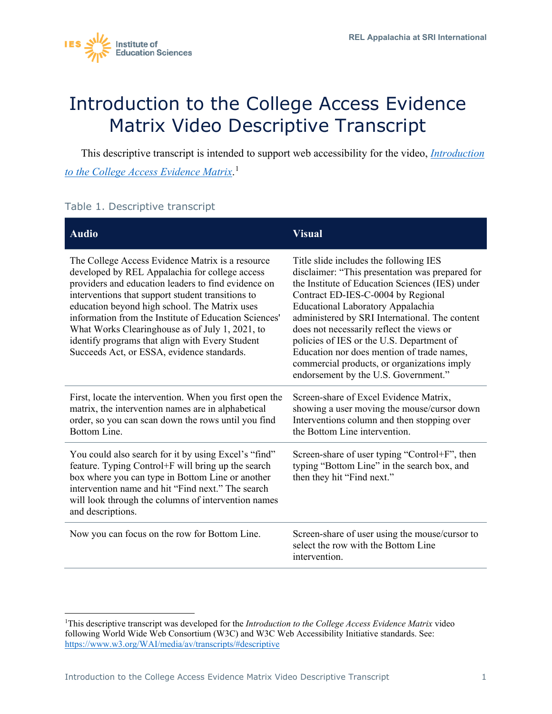

## Introduction to the College Access Evidence Matrix Video Descriptive Transcript

This descriptive transcript is intended to support web accessibility for the video, *[Introduction](https://www.youtube.com/watch?v=7hEGknY1Ooo)  [to the College Access Evidence Matrix](https://www.youtube.com/watch?v=7hEGknY1Ooo)*. [1](#page-0-0)

## Table 1. Descriptive transcript

| <b>Audio</b>                                                                                                                                                                                                                                                                                                                                                                                                                                                                 | <b>Visual</b>                                                                                                                                                                                                                                                                                                                                                                                                                                                                                            |
|------------------------------------------------------------------------------------------------------------------------------------------------------------------------------------------------------------------------------------------------------------------------------------------------------------------------------------------------------------------------------------------------------------------------------------------------------------------------------|----------------------------------------------------------------------------------------------------------------------------------------------------------------------------------------------------------------------------------------------------------------------------------------------------------------------------------------------------------------------------------------------------------------------------------------------------------------------------------------------------------|
| The College Access Evidence Matrix is a resource<br>developed by REL Appalachia for college access<br>providers and education leaders to find evidence on<br>interventions that support student transitions to<br>education beyond high school. The Matrix uses<br>information from the Institute of Education Sciences'<br>What Works Clearinghouse as of July 1, 2021, to<br>identify programs that align with Every Student<br>Succeeds Act, or ESSA, evidence standards. | Title slide includes the following IES<br>disclaimer: "This presentation was prepared for<br>the Institute of Education Sciences (IES) under<br>Contract ED-IES-C-0004 by Regional<br>Educational Laboratory Appalachia<br>administered by SRI International. The content<br>does not necessarily reflect the views or<br>policies of IES or the U.S. Department of<br>Education nor does mention of trade names,<br>commercial products, or organizations imply<br>endorsement by the U.S. Government." |
| First, locate the intervention. When you first open the<br>matrix, the intervention names are in alphabetical<br>order, so you can scan down the rows until you find<br>Bottom Line.                                                                                                                                                                                                                                                                                         | Screen-share of Excel Evidence Matrix,<br>showing a user moving the mouse/cursor down<br>Interventions column and then stopping over<br>the Bottom Line intervention.                                                                                                                                                                                                                                                                                                                                    |
| You could also search for it by using Excel's "find"<br>feature. Typing Control+F will bring up the search<br>box where you can type in Bottom Line or another<br>intervention name and hit "Find next." The search<br>will look through the columns of intervention names<br>and descriptions.                                                                                                                                                                              | Screen-share of user typing "Control+F", then<br>typing "Bottom Line" in the search box, and<br>then they hit "Find next."                                                                                                                                                                                                                                                                                                                                                                               |
| Now you can focus on the row for Bottom Line.                                                                                                                                                                                                                                                                                                                                                                                                                                | Screen-share of user using the mouse/cursor to<br>select the row with the Bottom Line<br>intervention.                                                                                                                                                                                                                                                                                                                                                                                                   |

<span id="page-0-0"></span><sup>&</sup>lt;sup>1</sup>This descriptive transcript was developed for the *Introduction to the College Access Evidence Matrix* video following World Wide Web Consortium (W3C) and W3C Web Accessibility Initiative standards. See: <https://www.w3.org/WAI/media/av/transcripts/#descriptive>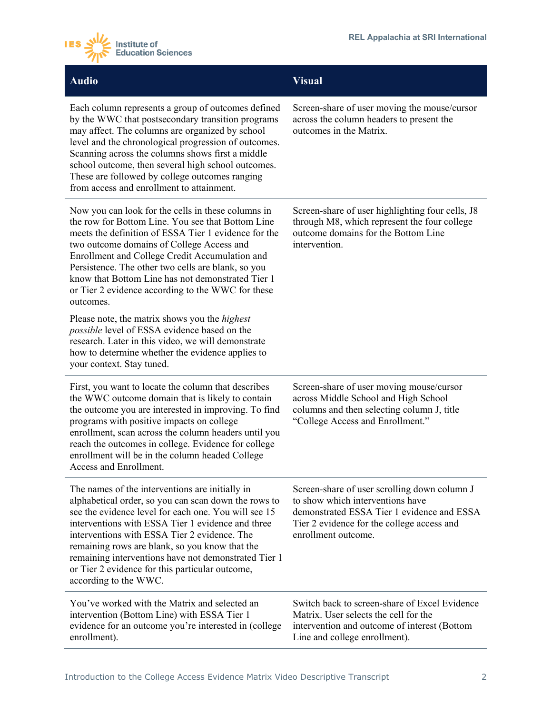

| <b>Audio</b>                                                                                                                                                                                                                                                                                                                                                                                                                                               | <b>Visual</b>                                                                                                                                                                                       |
|------------------------------------------------------------------------------------------------------------------------------------------------------------------------------------------------------------------------------------------------------------------------------------------------------------------------------------------------------------------------------------------------------------------------------------------------------------|-----------------------------------------------------------------------------------------------------------------------------------------------------------------------------------------------------|
| Each column represents a group of outcomes defined<br>by the WWC that postsecondary transition programs<br>may affect. The columns are organized by school<br>level and the chronological progression of outcomes.<br>Scanning across the columns shows first a middle<br>school outcome, then several high school outcomes.<br>These are followed by college outcomes ranging<br>from access and enrollment to attainment.                                | Screen-share of user moving the mouse/cursor<br>across the column headers to present the<br>outcomes in the Matrix.                                                                                 |
| Now you can look for the cells in these columns in<br>the row for Bottom Line. You see that Bottom Line<br>meets the definition of ESSA Tier 1 evidence for the<br>two outcome domains of College Access and<br>Enrollment and College Credit Accumulation and<br>Persistence. The other two cells are blank, so you<br>know that Bottom Line has not demonstrated Tier 1<br>or Tier 2 evidence according to the WWC for these<br>outcomes.                | Screen-share of user highlighting four cells, J8<br>through M8, which represent the four college<br>outcome domains for the Bottom Line<br>intervention.                                            |
| Please note, the matrix shows you the <i>highest</i><br>possible level of ESSA evidence based on the<br>research. Later in this video, we will demonstrate<br>how to determine whether the evidence applies to<br>your context. Stay tuned.                                                                                                                                                                                                                |                                                                                                                                                                                                     |
| First, you want to locate the column that describes<br>the WWC outcome domain that is likely to contain<br>the outcome you are interested in improving. To find<br>programs with positive impacts on college<br>enrollment, scan across the column headers until you<br>reach the outcomes in college. Evidence for college<br>enrollment will be in the column headed College<br>Access and Enrollment.                                                   | Screen-share of user moving mouse/cursor<br>across Middle School and High School<br>columns and then selecting column J, title<br>"College Access and Enrollment."                                  |
| The names of the interventions are initially in<br>alphabetical order, so you can scan down the rows to<br>see the evidence level for each one. You will see 15<br>interventions with ESSA Tier 1 evidence and three<br>interventions with ESSA Tier 2 evidence. The<br>remaining rows are blank, so you know that the<br>remaining interventions have not demonstrated Tier 1<br>or Tier 2 evidence for this particular outcome,<br>according to the WWC. | Screen-share of user scrolling down column J<br>to show which interventions have<br>demonstrated ESSA Tier 1 evidence and ESSA<br>Tier 2 evidence for the college access and<br>enrollment outcome. |
| You've worked with the Matrix and selected an<br>intervention (Bottom Line) with ESSA Tier 1<br>evidence for an outcome you're interested in (college<br>enrollment).                                                                                                                                                                                                                                                                                      | Switch back to screen-share of Excel Evidence<br>Matrix. User selects the cell for the<br>intervention and outcome of interest (Bottom<br>Line and college enrollment).                             |